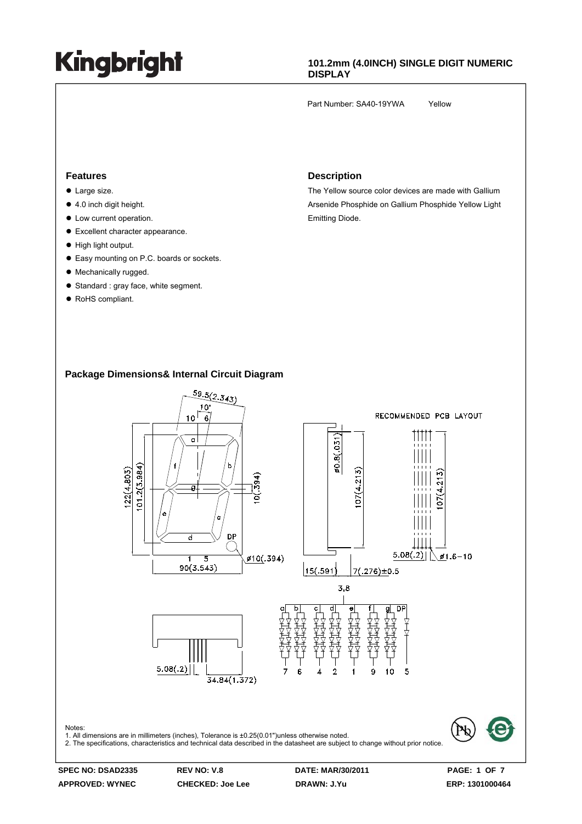#### **101.2mm (4.0INCH) SINGLE DIGIT NUMERIC DISPLAY**

Part Number: SA40-19YWA Yellow

#### **Features**

- $\bullet$  Large size.
- $\bullet$  4.0 inch digit height.
- $\bullet$  Low current operation.
- Excellent character appearance.
- $\bullet$  High light output.
- Easy mounting on P.C. boards or sockets.
- Mechanically rugged.
- Standard : gray face, white segment.
- RoHS compliant.

#### **Description**

The Yellow source color devices are made with Gallium Arsenide Phosphide on Gallium Phosphide Yellow Light Emitting Diode.

#### **Package Dimensions& Internal Circuit Diagram**



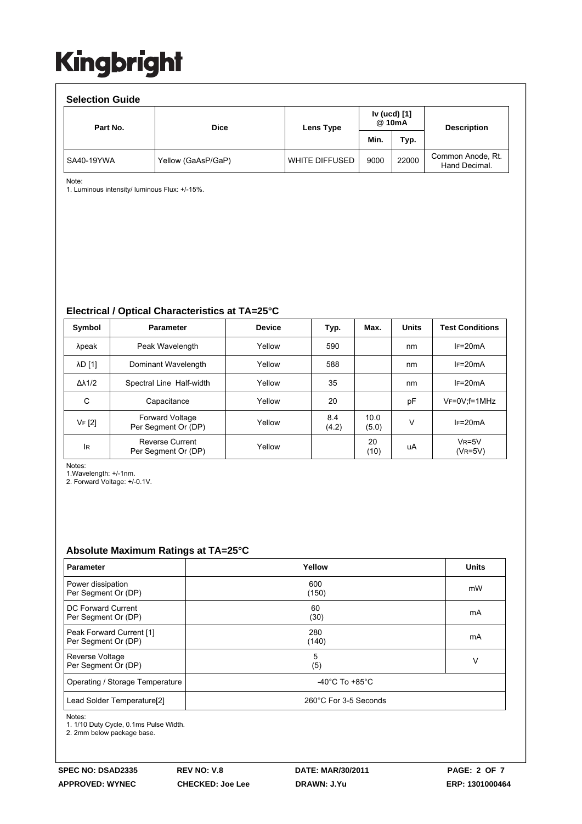| <b>Selection Guide</b> |                    |                       |                        |       |                                    |  |  |  |  |  |
|------------------------|--------------------|-----------------------|------------------------|-------|------------------------------------|--|--|--|--|--|
| Part No.               | <b>Dice</b>        | Lens Type             | Iv (ucd) [1]<br>@ 10mA |       | <b>Description</b>                 |  |  |  |  |  |
|                        |                    |                       | Min.                   | Typ.  |                                    |  |  |  |  |  |
| SA40-19YWA             | Yellow (GaAsP/GaP) | <b>WHITE DIFFUSED</b> | 9000                   | 22000 | Common Anode, Rt.<br>Hand Decimal. |  |  |  |  |  |

Note:

1. Luminous intensity/ luminous Flux: +/-15%.

#### **Electrical / Optical Characteristics at TA=25°C**

| Symbol              | <b>Parameter</b>                              | <b>Device</b> | Typ.         | Max.          | <b>Units</b> | <b>Test Conditions</b> |
|---------------------|-----------------------------------------------|---------------|--------------|---------------|--------------|------------------------|
| λpeak               | Peak Wavelength                               | Yellow        | 590          |               | nm           | $IF=20mA$              |
| λD [1]              | Dominant Wavelength                           | Yellow        | 588          |               | nm           | $IF=20mA$              |
| $\Delta\lambda$ 1/2 | Spectral Line Half-width                      | Yellow        | 35           |               | nm           | $IF=20mA$              |
| C                   | Capacitance                                   | Yellow        | 20           |               | pF           | $V_F = 0V$ : f = 1MHz  |
| VF [2]              | <b>Forward Voltage</b><br>Per Segment Or (DP) | Yellow        | 8.4<br>(4.2) | 10.0<br>(5.0) | V            | $IF=20mA$              |
| lR.                 | <b>Reverse Current</b><br>Per Segment Or (DP) | Yellow        |              | 20<br>(10)    | uA           | $V_R = 5V$<br>(VR=5V)  |

Notes:

1.Wavelength: +/-1nm.

2. Forward Voltage: +/-0.1V.

#### **Absolute Maximum Ratings at TA=25°C**

| <b>Parameter</b>                                | Yellow                               | <b>Units</b> |  |  |
|-------------------------------------------------|--------------------------------------|--------------|--|--|
| Power dissipation<br>Per Segment Or (DP)        | 600<br>(150)                         | mW           |  |  |
| DC Forward Current<br>Per Segment Or (DP)       | 60<br>(30)                           | mA           |  |  |
| Peak Forward Current [1]<br>Per Segment Or (DP) | 280<br>(140)                         | mA           |  |  |
| Reverse Voltage<br>Per Segment Or (DP)          | 5<br>(5)                             | v            |  |  |
| Operating / Storage Temperature                 | -40 $^{\circ}$ C To +85 $^{\circ}$ C |              |  |  |
| Lead Solder Temperature[2]                      | 260°C For 3-5 Seconds                |              |  |  |

Notes:

1. 1/10 Duty Cycle, 0.1ms Pulse Width.

2. 2mm below package base.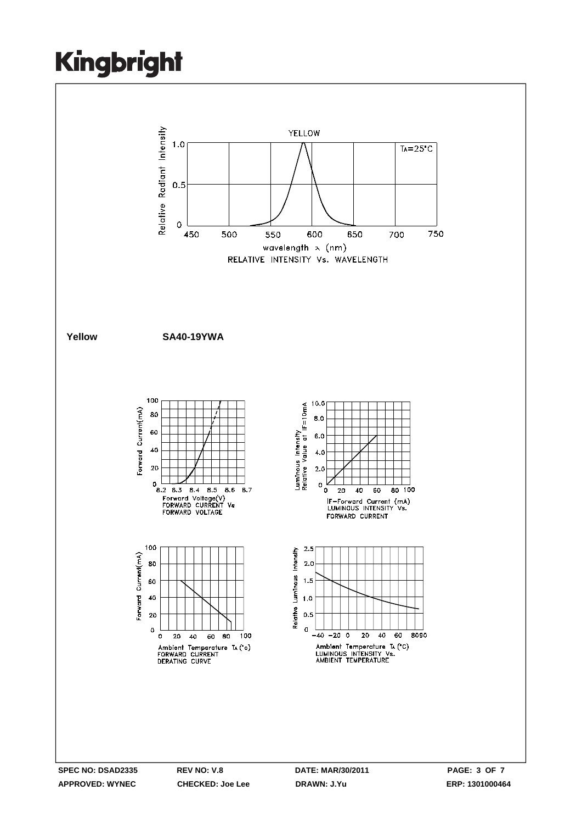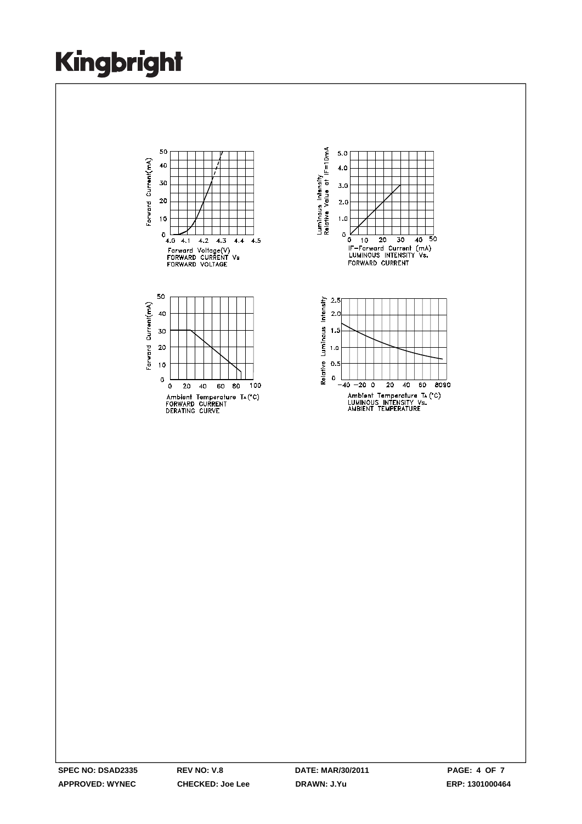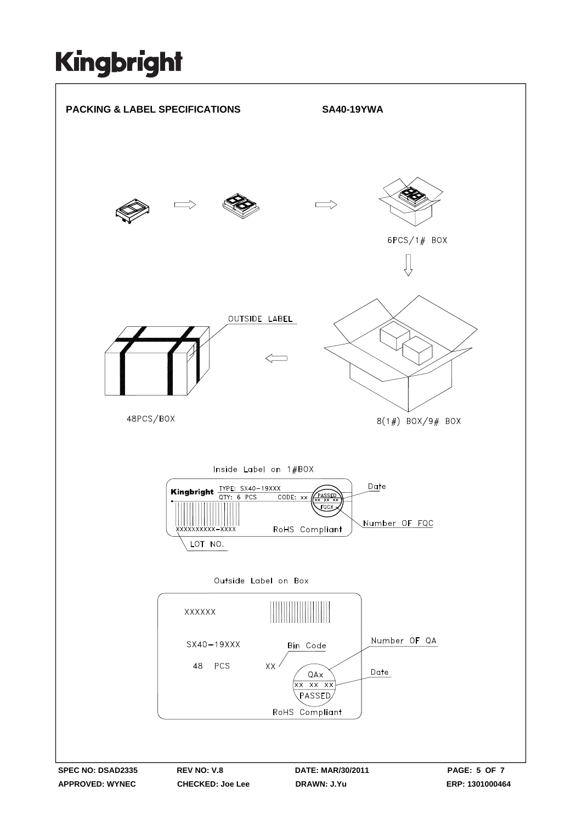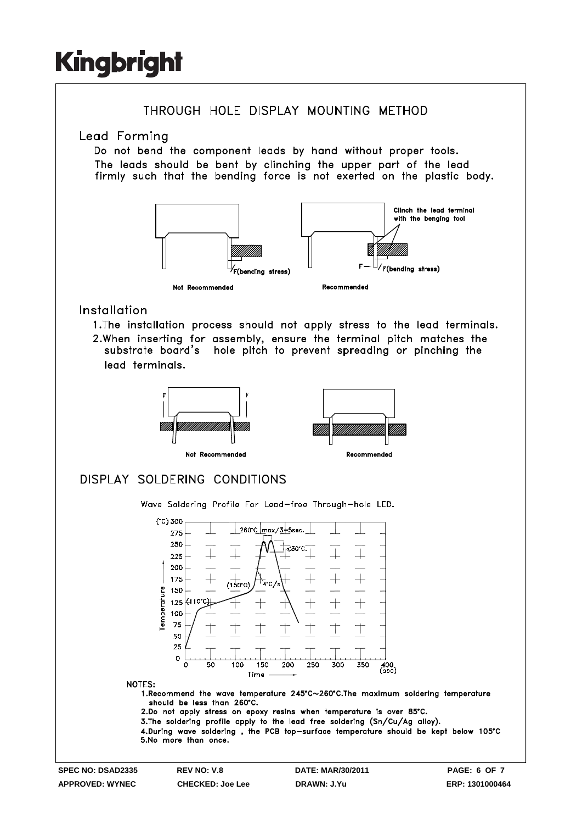